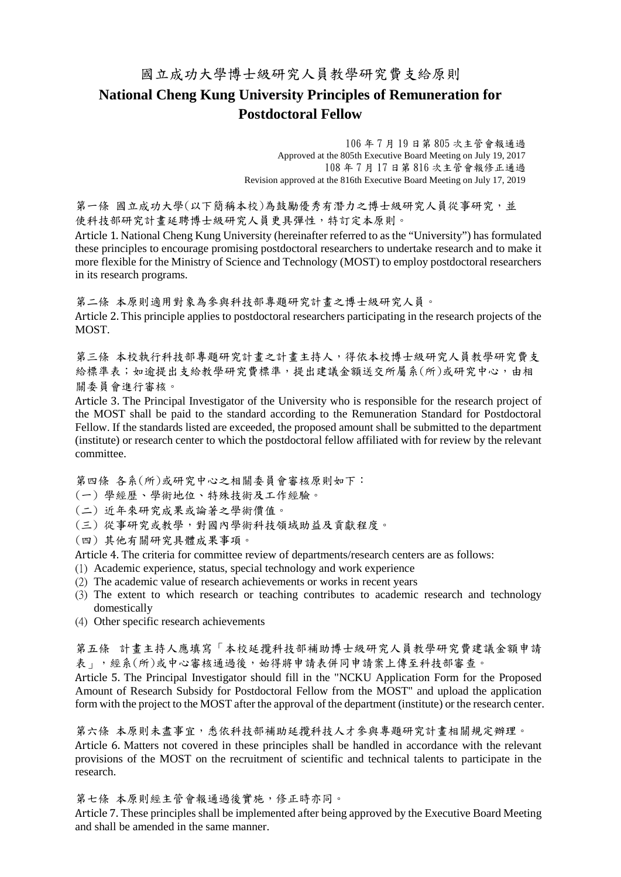## 國立成功大學博士級研究人員教學研究費支給原則 **National Cheng Kung University Principles of Remuneration for Postdoctoral Fellow**

106 年 7 月 19 日第 805 次主管會報通過 Approved at the 805th Executive Board Meeting on July 19, 2017 108 年 7 月 17 日第 816 次主管會報修正通過 Revision approved at the 816th Executive Board Meeting on July 17, 2019

第一條 國立成功大學(以下簡稱本校)為鼓勵優秀有潛力之博士級研究人員從事研究,並 使科技部研究計畫延聘博士級研究人員更具彈性,特訂定本原則。

Article 1. National Cheng Kung University (hereinafter referred to as the "University") has formulated these principles to encourage promising postdoctoral researchers to undertake research and to make it more flexible for the Ministry of Science and Technology (MOST) to employ postdoctoral researchers in its research programs.

第二條 本原則適用對象為參與科技部專題研究計畫之博士級研究人員。 Article 2. This principle applies to postdoctoral researchers participating in the research projects of the MOST.

第三條 本校執行科技部專題研究計畫之計畫主持人,得依本校博士級研究人員教學研究費支 給標準表;如逾提出支給教學研究費標準,提出建議金額送交所屬系(所)或研究中心,由相 關委員會進行審核。

Article 3. The Principal Investigator of the University who is responsible for the research project of the MOST shall be paid to the standard according to the Remuneration Standard for Postdoctoral Fellow. If the standards listed are exceeded, the proposed amount shall be submitted to the department (institute) or research center to which the postdoctoral fellow affiliated with for review by the relevant committee.

第四條 各系(所)或研究中心之相關委員會審核原則如下:

- (一) 學經歷、學術地位、特殊技術及工作經驗。
- (二) 近年來研究成果或論著之學術價值。
- (三) 從事研究或教學,對國內學術科技領域助益及貢獻程度。
- (四) 其他有關研究具體成果事項。

Article 4. The criteria for committee review of departments/research centers are as follows:

- (1) Academic experience, status, special technology and work experience
- (2) The academic value of research achievements or works in recent years
- (3) The extent to which research or teaching contributes to academic research and technology domestically
- (4) Other specific research achievements

第五條 計畫主持人應填寫「本校延攬科技部補助博士級研究人員教學研究費建議金額申請 表」,經系(所)或中心審核通過後,始得將申請表併同申請案上傳至科技部審查。

Article 5. The Principal Investigator should fill in the "NCKU Application Form for the Proposed Amount of Research Subsidy for Postdoctoral Fellow from the MOST" and upload the application form with the project to the MOST after the approval of the department (institute) or the research center.

第六條 本原則未盡事宜,悉依科技部補助延攬科技人才參與專題研究計畫相關規定辦理。 Article 6. Matters not covered in these principles shall be handled in accordance with the relevant provisions of the MOST on the recruitment of scientific and technical talents to participate in the research.

第七條 本原則經主管會報通過後實施,修正時亦同。

Article 7. These principles shall be implemented after being approved by the Executive Board Meeting and shall be amended in the same manner.